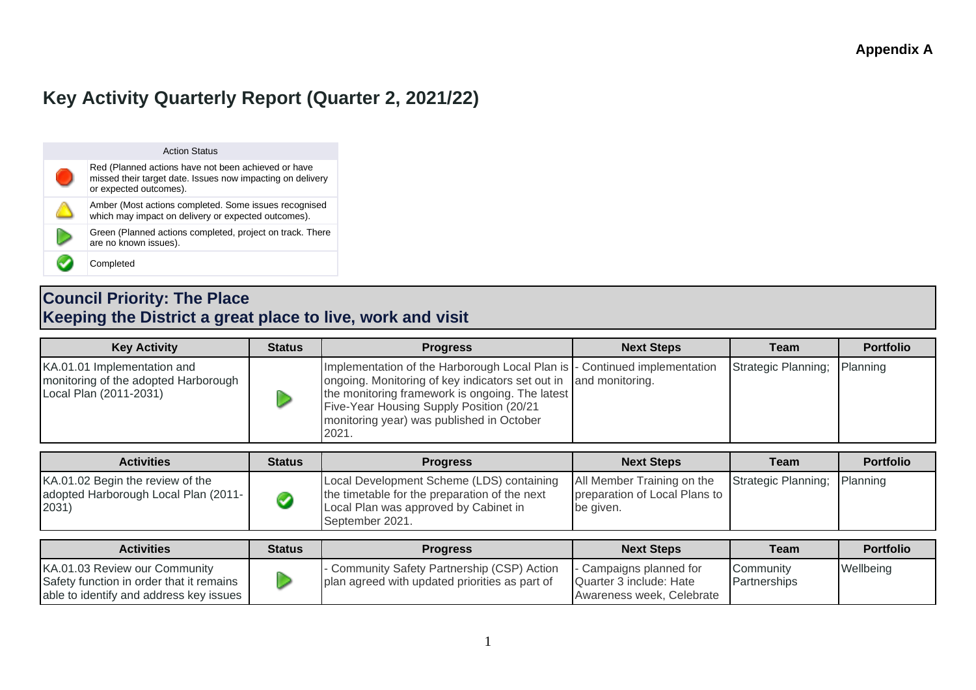# **Key Activity Quarterly Report (Quarter 2, 2021/22)**

| <b>Action Status</b>                                                                                                                        |
|---------------------------------------------------------------------------------------------------------------------------------------------|
| Red (Planned actions have not been achieved or have<br>missed their target date. Issues now impacting on delivery<br>or expected outcomes). |
| Amber (Most actions completed. Some issues recognised<br>which may impact on delivery or expected outcomes).                                |
| Green (Planned actions completed, project on track. There<br>are no known issues).                                                          |
| Completed                                                                                                                                   |

### **Council Priority: The Place Keeping the District a great place to live, work and visit**

| <b>Key Activity</b>                                                                           | <b>Status</b> | <b>Progress</b>                                                                                                                                                                                                                                         | <b>Next Steps</b>                                                        | <b>Team</b>         | <b>Portfolio</b> |
|-----------------------------------------------------------------------------------------------|---------------|---------------------------------------------------------------------------------------------------------------------------------------------------------------------------------------------------------------------------------------------------------|--------------------------------------------------------------------------|---------------------|------------------|
| KA.01.01 Implementation and<br>monitoring of the adopted Harborough<br>Local Plan (2011-2031) |               | Implementation of the Harborough Local Plan is<br>ongoing. Monitoring of key indicators set out in<br>the monitoring framework is ongoing. The latest<br>Five-Year Housing Supply Position (20/21<br>monitoring year) was published in October<br>2021. | Continued implementation<br>and monitoring.                              | Strategic Planning; | Planning         |
| <b>Activities</b>                                                                             | <b>Status</b> | <b>Progress</b>                                                                                                                                                                                                                                         | <b>Next Steps</b>                                                        | <b>Team</b>         | <b>Portfolio</b> |
| KA.01.02 Begin the review of the<br>adopted Harborough Local Plan (2011-<br>2031)             | Ø             | Local Development Scheme (LDS) containing<br>the timetable for the preparation of the next<br>Local Plan was approved by Cabinet in<br>September 2021.                                                                                                  | All Member Training on the<br>preparation of Local Plans to<br>be given. | Strategic Planning; | Planning         |
| <b>Activities</b>                                                                             | <b>Status</b> | <b>Progress</b>                                                                                                                                                                                                                                         | <b>Next Steps</b>                                                        | <b>Team</b>         | <b>Portfolio</b> |

| <b>Activities</b>                                                                                                    | <b>Status</b> | <b>Progress</b>                                                                                 | <b>Next Steps</b>                                                               | Team                      | <b>Portfolio</b> |
|----------------------------------------------------------------------------------------------------------------------|---------------|-------------------------------------------------------------------------------------------------|---------------------------------------------------------------------------------|---------------------------|------------------|
| KA.01.03 Review our Community<br>Safety function in order that it remains<br>able to identify and address key issues |               | - Community Safety Partnership (CSP) Action<br>I plan agreed with updated priorities as part of | - Campaigns planned for<br>Quarter 3 include: Hate<br>Awareness week, Celebrate | Community<br>Partnerships | Wellbeing        |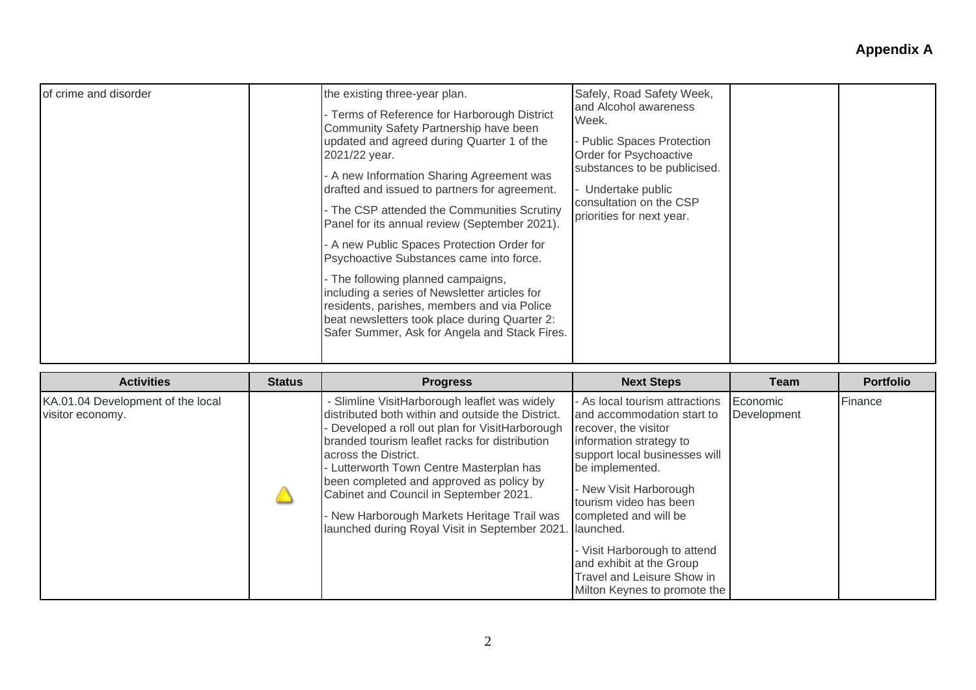| of crime and disorder | the existing three-year plan.<br>Terms of Reference for Harborough District<br>Community Safety Partnership have been<br>updated and agreed during Quarter 1 of the<br>2021/22 year.<br>A new Information Sharing Agreement was<br>drafted and issued to partners for agreement.<br>The CSP attended the Communities Scrutiny<br>Panel for its annual review (September 2021).<br>A new Public Spaces Protection Order for<br>Psychoactive Substances came into force.<br>The following planned campaigns,<br>including a series of Newsletter articles for<br>residents, parishes, members and via Police<br>beat newsletters took place during Quarter 2:<br>Safer Summer, Ask for Angela and Stack Fires. | Safely, Road Safety Week,<br>and Alcohol awareness<br>Week.<br>Public Spaces Protection<br>Order for Psychoactive<br>substances to be publicised.<br>Undertake public<br>consultation on the CSP<br>priorities for next year. |  |  |
|-----------------------|--------------------------------------------------------------------------------------------------------------------------------------------------------------------------------------------------------------------------------------------------------------------------------------------------------------------------------------------------------------------------------------------------------------------------------------------------------------------------------------------------------------------------------------------------------------------------------------------------------------------------------------------------------------------------------------------------------------|-------------------------------------------------------------------------------------------------------------------------------------------------------------------------------------------------------------------------------|--|--|
|-----------------------|--------------------------------------------------------------------------------------------------------------------------------------------------------------------------------------------------------------------------------------------------------------------------------------------------------------------------------------------------------------------------------------------------------------------------------------------------------------------------------------------------------------------------------------------------------------------------------------------------------------------------------------------------------------------------------------------------------------|-------------------------------------------------------------------------------------------------------------------------------------------------------------------------------------------------------------------------------|--|--|

| <b>Activities</b>                                     | <b>Status</b> | <b>Progress</b>                                                                                                                                                                                                                                                                                                                                                                                                                                             | <b>Next Steps</b>                                                                                                                                                                                                                                                                                                                                                                       | Team                    | <b>Portfolio</b> |
|-------------------------------------------------------|---------------|-------------------------------------------------------------------------------------------------------------------------------------------------------------------------------------------------------------------------------------------------------------------------------------------------------------------------------------------------------------------------------------------------------------------------------------------------------------|-----------------------------------------------------------------------------------------------------------------------------------------------------------------------------------------------------------------------------------------------------------------------------------------------------------------------------------------------------------------------------------------|-------------------------|------------------|
| KA.01.04 Development of the local<br>visitor economy. |               | - Slimline VisitHarborough leaflet was widely<br>distributed both within and outside the District.<br>Developed a roll out plan for VisitHarborough<br>branded tourism leaflet racks for distribution<br>across the District.<br>Lutterworth Town Centre Masterplan has<br>been completed and approved as policy by<br>Cabinet and Council in September 2021.<br>New Harborough Markets Heritage Trail was<br>launched during Royal Visit in September 2021 | - As local tourism attractions<br>and accommodation start to<br>recover, the visitor<br>information strategy to<br>support local businesses will<br>be implemented.<br>- New Visit Harborough<br>tourism video has been<br>completed and will be<br>launched.<br>- Visit Harborough to attend<br>and exhibit at the Group<br>Travel and Leisure Show in<br>Milton Keynes to promote the | Economic<br>Development | Finance          |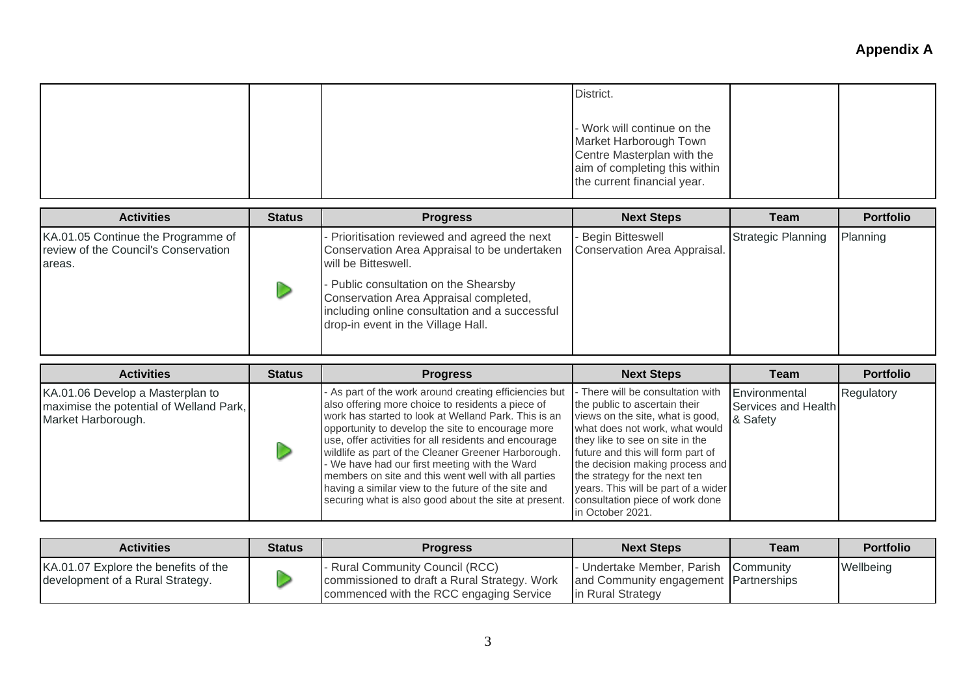|  | District.                                                                                                                                           |  |
|--|-----------------------------------------------------------------------------------------------------------------------------------------------------|--|
|  | - Work will continue on the<br>Market Harborough Town<br>Centre Masterplan with the<br>aim of completing this within<br>the current financial year. |  |

| <b>Activities</b>                                                                    | <b>Status</b> | <b>Progress</b>                                                                                                                                                                                                                                                                             | <b>Next Steps</b>                                  | Team                      | <b>Portfolio</b> |
|--------------------------------------------------------------------------------------|---------------|---------------------------------------------------------------------------------------------------------------------------------------------------------------------------------------------------------------------------------------------------------------------------------------------|----------------------------------------------------|---------------------------|------------------|
| KA.01.05 Continue the Programme of<br>review of the Council's Conservation<br>areas. |               | Prioritisation reviewed and agreed the next<br>Conservation Area Appraisal to be undertaken<br>will be Bitteswell.<br>Public consultation on the Shearsby<br>Conservation Area Appraisal completed,<br>including online consultation and a successful<br>drop-in event in the Village Hall. | - Begin Bitteswell<br>Conservation Area Appraisal. | <b>Strategic Planning</b> | Planning         |
|                                                                                      |               |                                                                                                                                                                                                                                                                                             |                                                    |                           |                  |

| <b>Activities</b>                                                                                 | <b>Status</b> | <b>Progress</b>                                                                                                                                                                                                                                                                                                                                                                                                                                                                                                                                                  | <b>Next Steps</b>                                                                                                                                                                                                                                                                                                                                                                  | Team                                             | <b>Portfolio</b> |
|---------------------------------------------------------------------------------------------------|---------------|------------------------------------------------------------------------------------------------------------------------------------------------------------------------------------------------------------------------------------------------------------------------------------------------------------------------------------------------------------------------------------------------------------------------------------------------------------------------------------------------------------------------------------------------------------------|------------------------------------------------------------------------------------------------------------------------------------------------------------------------------------------------------------------------------------------------------------------------------------------------------------------------------------------------------------------------------------|--------------------------------------------------|------------------|
| KA.01.06 Develop a Masterplan to<br>maximise the potential of Welland Park,<br>Market Harborough. |               | - As part of the work around creating efficiencies but<br>also offering more choice to residents a piece of<br>work has started to look at Welland Park. This is an<br>opportunity to develop the site to encourage more<br>use, offer activities for all residents and encourage<br>wildlife as part of the Cleaner Greener Harborough.<br>- We have had our first meeting with the Ward<br>members on site and this went well with all parties<br>having a similar view to the future of the site and<br>securing what is also good about the site at present. | - There will be consultation with<br>the public to ascertain their<br>views on the site, what is good,<br>what does not work, what would<br>they like to see on site in the<br>future and this will form part of<br>the decision making process and<br>the strategy for the next ten<br>years. This will be part of a wider<br>consultation piece of work done<br>in October 2021. | Environmental<br>Services and Health<br>& Safety | Regulatory       |

| <b>Activities</b>                                                        | <b>Status</b> | <b>Progress</b>                                                                                                            | <b>Next Steps</b>                                                                                   | <b>Team</b> | <b>Portfolio</b> |
|--------------------------------------------------------------------------|---------------|----------------------------------------------------------------------------------------------------------------------------|-----------------------------------------------------------------------------------------------------|-------------|------------------|
| KA.01.07 Explore the benefits of the<br>development of a Rural Strategy. |               | - Rural Community Council (RCC)<br>commissioned to draft a Rural Strategy. Work<br>commenced with the RCC engaging Service | - Undertake Member, Parish Community<br>and Community engagement Partnerships<br>lin Rural Strategy |             | Wellbeing        |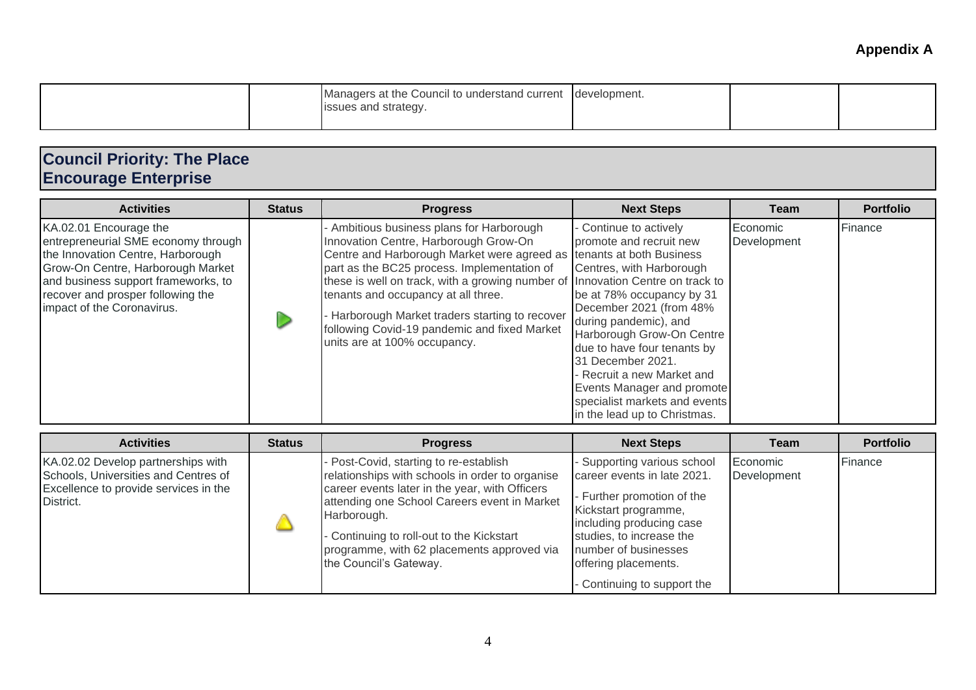|  | Managers at the Council to understand current development.<br>issues and strategy. |  |  |
|--|------------------------------------------------------------------------------------|--|--|
|  |                                                                                    |  |  |

## **Council Priority: The Place Encourage Enterprise**

| <b>Activities</b>                                                                                                                                                                                                                                 | <b>Status</b> | <b>Progress</b>                                                                                                                                                                                                                                                                                                                                                                                                                     | <b>Next Steps</b>                                                                                                                                                                                                                                                                                                                                                                                             | Team                    | <b>Portfolio</b> |
|---------------------------------------------------------------------------------------------------------------------------------------------------------------------------------------------------------------------------------------------------|---------------|-------------------------------------------------------------------------------------------------------------------------------------------------------------------------------------------------------------------------------------------------------------------------------------------------------------------------------------------------------------------------------------------------------------------------------------|---------------------------------------------------------------------------------------------------------------------------------------------------------------------------------------------------------------------------------------------------------------------------------------------------------------------------------------------------------------------------------------------------------------|-------------------------|------------------|
| KA.02.01 Encourage the<br>entrepreneurial SME economy through<br>the Innovation Centre, Harborough<br>Grow-On Centre, Harborough Market<br>and business support frameworks, to<br>recover and prosper following the<br>impact of the Coronavirus. |               | Ambitious business plans for Harborough<br>Innovation Centre, Harborough Grow-On<br>Centre and Harborough Market were agreed as tenants at both Business<br>part as the BC25 process. Implementation of<br>these is well on track, with a growing number of<br>tenants and occupancy at all three.<br>Harborough Market traders starting to recover<br>following Covid-19 pandemic and fixed Market<br>units are at 100% occupancy. | - Continue to actively<br>promote and recruit new<br>Centres, with Harborough<br>Innovation Centre on track to<br>be at 78% occupancy by 31<br>December 2021 (from 48%<br>during pandemic), and<br>Harborough Grow-On Centre<br>due to have four tenants by<br>31 December 2021.<br>- Recruit a new Market and<br>Events Manager and promote<br>specialist markets and events<br>in the lead up to Christmas. | Economic<br>Development | Finance          |

| <b>Activities</b>                                                                                                                | <b>Status</b> | <b>Progress</b>                                                                                                                                                                                                                                                                                                                 | <b>Next Steps</b>                                                                                                                                                                                                                                     | <b>Team</b>             | <b>Portfolio</b> |
|----------------------------------------------------------------------------------------------------------------------------------|---------------|---------------------------------------------------------------------------------------------------------------------------------------------------------------------------------------------------------------------------------------------------------------------------------------------------------------------------------|-------------------------------------------------------------------------------------------------------------------------------------------------------------------------------------------------------------------------------------------------------|-------------------------|------------------|
| KA.02.02 Develop partnerships with<br>Schools, Universities and Centres of<br>Excellence to provide services in the<br>District. |               | - Post-Covid, starting to re-establish<br>relationships with schools in order to organise<br>career events later in the year, with Officers<br>attending one School Careers event in Market<br>Harborough.<br>- Continuing to roll-out to the Kickstart<br>programme, with 62 placements approved via<br>the Council's Gateway. | - Supporting various school<br>career events in late 2021.<br>- Further promotion of the<br>Kickstart programme,<br>including producing case<br>studies, to increase the<br>number of businesses<br>offering placements.<br>Continuing to support the | Economic<br>Development | Finance          |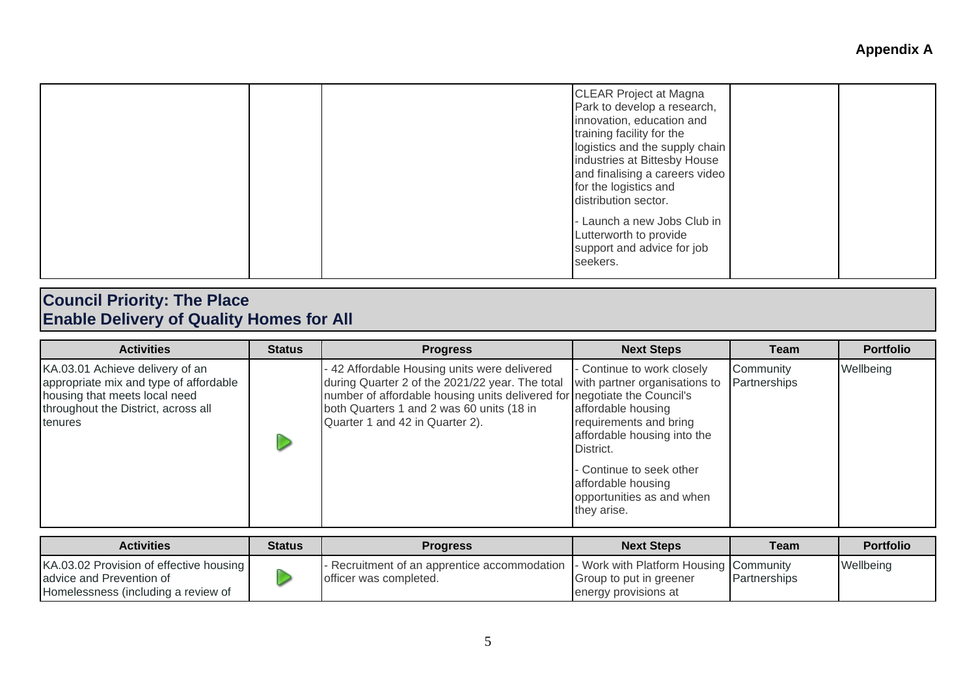| Launch a new Jobs Club in<br>Lutterworth to provide<br>support and advice for job | training facility for the<br>logistics and the supply chain<br>industries at Bittesby House<br>and finalising a careers video<br>for the logistics and<br>distribution sector. |
|-----------------------------------------------------------------------------------|--------------------------------------------------------------------------------------------------------------------------------------------------------------------------------|
|-----------------------------------------------------------------------------------|--------------------------------------------------------------------------------------------------------------------------------------------------------------------------------|

#### **Council Priority: The Place Enable Delivery of Quality Homes for All**

| <b>Activities</b>                                                                                                                                                   | <b>Status</b> | <b>Progress</b>                                                                                                                                                                                                                                             | <b>Next Steps</b>                                                                                                                                                                                                                                     | Team                      | <b>Portfolio</b> |
|---------------------------------------------------------------------------------------------------------------------------------------------------------------------|---------------|-------------------------------------------------------------------------------------------------------------------------------------------------------------------------------------------------------------------------------------------------------------|-------------------------------------------------------------------------------------------------------------------------------------------------------------------------------------------------------------------------------------------------------|---------------------------|------------------|
| KA.03.01 Achieve delivery of an<br>appropriate mix and type of affordable<br>housing that meets local need<br>throughout the District, across all<br><b>tenures</b> |               | - 42 Affordable Housing units were delivered<br>during Quarter 2 of the 2021/22 year. The total<br>number of affordable housing units delivered for negotiate the Council's<br>both Quarters 1 and 2 was 60 units (18 in<br>Quarter 1 and 42 in Quarter 2). | - Continue to work closely<br>with partner organisations to<br>affordable housing<br>requirements and bring<br>affordable housing into the<br>District.<br>- Continue to seek other<br>affordable housing<br>opportunities as and when<br>they arise. | Community<br>Partnerships | Wellbeing        |

| <b>Activities</b>                                                                                          | <b>Status</b> | <b>Progress</b>                                                        | <b>Next Steps</b>                                                                           | Team         | <b>Portfolio</b> |
|------------------------------------------------------------------------------------------------------------|---------------|------------------------------------------------------------------------|---------------------------------------------------------------------------------------------|--------------|------------------|
| KA.03.02 Provision of effective housing<br>advice and Prevention of<br>Homelessness (including a review of |               | - Recruitment of an apprentice accommodation<br>officer was completed. | I - Work with Platform Housing Community<br>Group to put in greener<br>energy provisions at | Partnerships | Wellbeing        |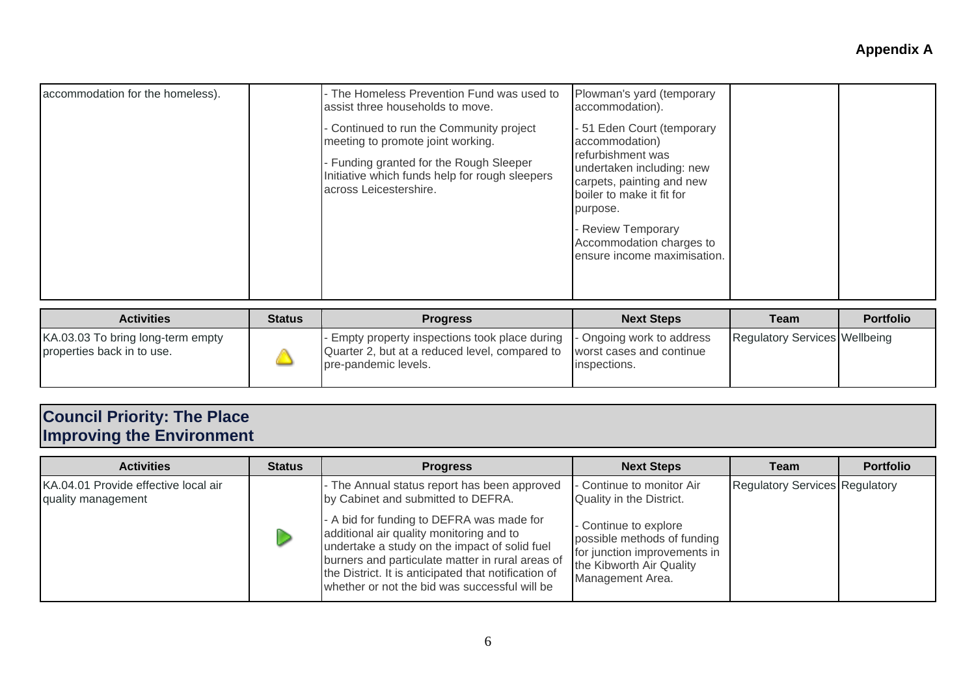| accommodation for the homeless). | - The Homeless Prevention Fund was used to<br>assist three households to move.                                                                                                                     | Plowman's yard (temporary<br>accommodation).                                                                                                                                                                                                               |  |
|----------------------------------|----------------------------------------------------------------------------------------------------------------------------------------------------------------------------------------------------|------------------------------------------------------------------------------------------------------------------------------------------------------------------------------------------------------------------------------------------------------------|--|
|                                  | Continued to run the Community project<br>meeting to promote joint working.<br>- Funding granted for the Rough Sleeper<br>Initiative which funds help for rough sleepers<br>across Leicestershire. | - 51 Eden Court (temporary<br>accommodation)<br>refurbishment was<br>undertaken including: new<br>carpets, painting and new<br>boiler to make it fit for<br>purpose.<br><b>Review Temporary</b><br>Accommodation charges to<br>ensure income maximisation. |  |
|                                  |                                                                                                                                                                                                    |                                                                                                                                                                                                                                                            |  |

| <b>Activities</b>                                               | <b>Status</b> | <b>Progress</b>                                                                                                                                                            | <b>Next Steps</b> | Team                                 | <b>Portfolio</b> |
|-----------------------------------------------------------------|---------------|----------------------------------------------------------------------------------------------------------------------------------------------------------------------------|-------------------|--------------------------------------|------------------|
| KA.03.03 To bring long-term empty<br>properties back in to use. |               | Empty property inspections took place during  - Ongoing work to address<br>Quarter 2, but at a reduced level, compared to worst cases and continue<br>pre-pandemic levels. | inspections.      | <b>Regulatory Services Wellbeing</b> |                  |

## **Council Priority: The Place Improving the Environment**

| <b>Activities</b>                                          | <b>Status</b> | <b>Progress</b>                                                                                                                                                                                                                                                                                     | <b>Next Steps</b>                                                                                                                    | Team                                  | <b>Portfolio</b> |
|------------------------------------------------------------|---------------|-----------------------------------------------------------------------------------------------------------------------------------------------------------------------------------------------------------------------------------------------------------------------------------------------------|--------------------------------------------------------------------------------------------------------------------------------------|---------------------------------------|------------------|
| KA.04.01 Provide effective local air<br>quality management |               | - The Annual status report has been approved<br>by Cabinet and submitted to DEFRA.                                                                                                                                                                                                                  | - Continue to monitor Air<br>Quality in the District.                                                                                | <b>Regulatory Services Regulatory</b> |                  |
|                                                            |               | - A bid for funding to DEFRA was made for<br>additional air quality monitoring and to<br>undertake a study on the impact of solid fuel<br>burners and particulate matter in rural areas of<br>the District. It is anticipated that notification of<br>whether or not the bid was successful will be | - Continue to explore<br>possible methods of funding<br>for junction improvements in<br>the Kibworth Air Quality<br>Management Area. |                                       |                  |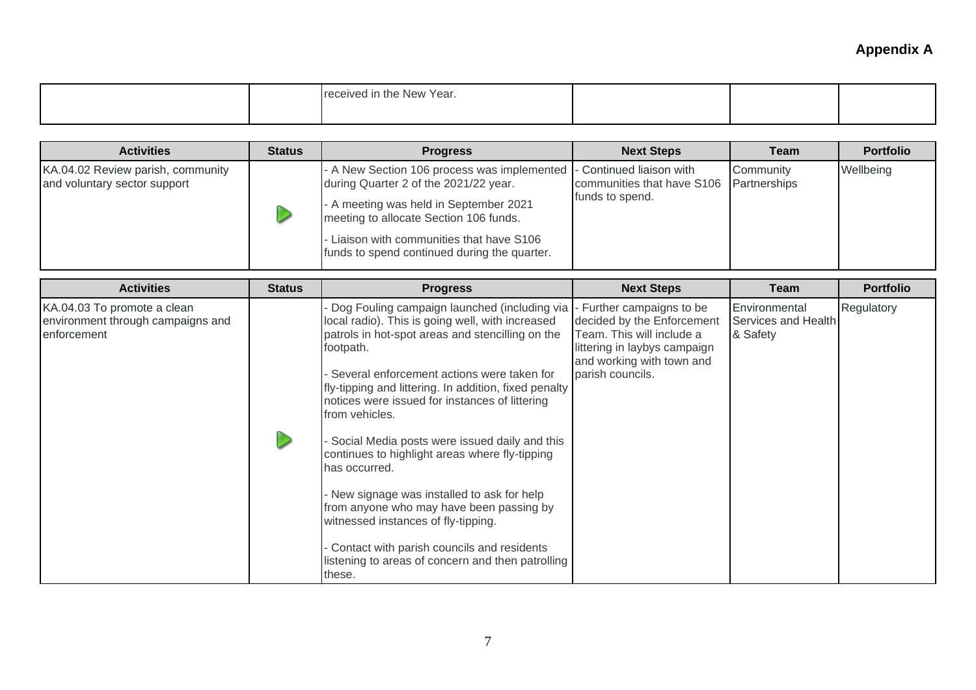|  | Year.<br><b>New</b><br>. ANIAN<br>ነ †ከ <del>c</del> |  |  |  |
|--|-----------------------------------------------------|--|--|--|
|--|-----------------------------------------------------|--|--|--|

| <b>Activities</b>                                                 | <b>Status</b> | <b>Progress</b>                                                                                                                                                                                                                                                                                | <b>Next Steps</b>                                          | Team      | <b>Portfolio</b> |
|-------------------------------------------------------------------|---------------|------------------------------------------------------------------------------------------------------------------------------------------------------------------------------------------------------------------------------------------------------------------------------------------------|------------------------------------------------------------|-----------|------------------|
| KA.04.02 Review parish, community<br>and voluntary sector support |               | - A New Section 106 process was implemented   Continued liaison with<br>during Quarter 2 of the 2021/22 year.<br>- A meeting was held in September 2021<br>meeting to allocate Section 106 funds.<br>- Liaison with communities that have S106<br>funds to spend continued during the quarter. | communities that have S106 Partnerships<br>funds to spend. | Community | Wellbeing        |

| <b>Activities</b>                                                               | <b>Status</b> | <b>Progress</b>                                                                                                                                                                              | <b>Next Steps</b>                                                                                                    | Team                                             | <b>Portfolio</b> |
|---------------------------------------------------------------------------------|---------------|----------------------------------------------------------------------------------------------------------------------------------------------------------------------------------------------|----------------------------------------------------------------------------------------------------------------------|--------------------------------------------------|------------------|
| KA.04.03 To promote a clean<br>environment through campaigns and<br>enforcement |               | Dog Fouling campaign launched (including via  - Further campaigns to be<br>local radio). This is going well, with increased<br>patrols in hot-spot areas and stencilling on the<br>footpath. | decided by the Enforcement<br>Team. This will include a<br>littering in laybys campaign<br>and working with town and | Environmental<br>Services and Health<br>& Safety | Regulatory       |
|                                                                                 |               | Several enforcement actions were taken for<br>fly-tipping and littering. In addition, fixed penalty<br>notices were issued for instances of littering<br>from vehicles.                      | parish councils.                                                                                                     |                                                  |                  |
|                                                                                 |               | Social Media posts were issued daily and this<br>continues to highlight areas where fly-tipping<br>has occurred.                                                                             |                                                                                                                      |                                                  |                  |
|                                                                                 |               | - New signage was installed to ask for help<br>from anyone who may have been passing by<br>witnessed instances of fly-tipping.                                                               |                                                                                                                      |                                                  |                  |
|                                                                                 |               | Contact with parish councils and residents<br>listening to areas of concern and then patrolling<br>these.                                                                                    |                                                                                                                      |                                                  |                  |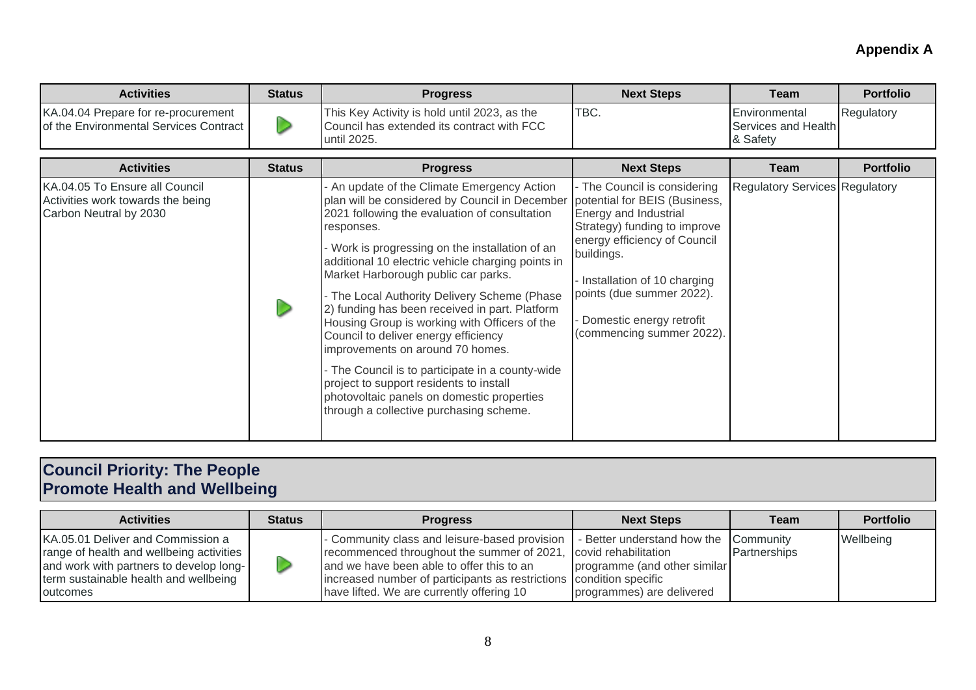| <b>Activities</b>                                                             | <b>Status</b> | <b>Progress</b>                                                                                           | <b>Next Steps</b> | Team                                                     | <b>Portfolio</b> |
|-------------------------------------------------------------------------------|---------------|-----------------------------------------------------------------------------------------------------------|-------------------|----------------------------------------------------------|------------------|
| KA.04.04 Prepare for re-procurement<br>of the Environmental Services Contract |               | This Key Activity is hold until 2023, as the<br>Council has extended its contract with FCC<br>until 2025. | TBC.              | <b>IEnvironmental</b><br>Services and Health<br>& Safety | Regulatory       |

| <b>Activities</b>                                                                             | <b>Status</b> | <b>Progress</b>                                                                                                                                                                                                                                                                                                                                                                                                                                                                                                                                                                                                                                                                                                                  | <b>Next Steps</b>                                                                                                                                                                                                                                                                         | Team                                  | <b>Portfolio</b> |
|-----------------------------------------------------------------------------------------------|---------------|----------------------------------------------------------------------------------------------------------------------------------------------------------------------------------------------------------------------------------------------------------------------------------------------------------------------------------------------------------------------------------------------------------------------------------------------------------------------------------------------------------------------------------------------------------------------------------------------------------------------------------------------------------------------------------------------------------------------------------|-------------------------------------------------------------------------------------------------------------------------------------------------------------------------------------------------------------------------------------------------------------------------------------------|---------------------------------------|------------------|
| KA.04.05 To Ensure all Council<br>Activities work towards the being<br>Carbon Neutral by 2030 |               | An update of the Climate Emergency Action<br>plan will be considered by Council in December<br>2021 following the evaluation of consultation<br>responses.<br>- Work is progressing on the installation of an<br>additional 10 electric vehicle charging points in<br>Market Harborough public car parks.<br>- The Local Authority Delivery Scheme (Phase<br>2) funding has been received in part. Platform<br>Housing Group is working with Officers of the<br>Council to deliver energy efficiency<br>improvements on around 70 homes.<br>- The Council is to participate in a county-wide<br>project to support residents to install<br>photovoltaic panels on domestic properties<br>through a collective purchasing scheme. | - The Council is considering<br>potential for BEIS (Business,<br>Energy and Industrial<br>Strategy) funding to improve<br>energy efficiency of Council<br>buildings.<br>Installation of 10 charging<br>points (due summer 2022).<br>Domestic energy retrofit<br>(commencing summer 2022). | <b>Regulatory Services Regulatory</b> |                  |

#### **Council Priority: The People Promote Health and Wellbeing**

| <b>Activities</b>                                                                                                                                                             | <b>Status</b> | <b>Progress</b>                                                                                                                                                                                                                                              | <b>Next Steps</b>                                                                                                          | Team         | <b>Portfolio</b> |
|-------------------------------------------------------------------------------------------------------------------------------------------------------------------------------|---------------|--------------------------------------------------------------------------------------------------------------------------------------------------------------------------------------------------------------------------------------------------------------|----------------------------------------------------------------------------------------------------------------------------|--------------|------------------|
| KA.05.01 Deliver and Commission a<br>range of health and wellbeing activities<br>and work with partners to develop long-<br>term sustainable health and wellbeing<br>outcomes |               | - Community class and leisure-based provision<br>recommenced throughout the summer of 2021,<br>and we have been able to offer this to an<br>increased number of participants as restrictions condition specific<br>have lifted. We are currently offering 10 | - Better understand how the Community<br>covid rehabilitation<br>programme (and other similar<br>programmes) are delivered | Partnerships | Wellbeing        |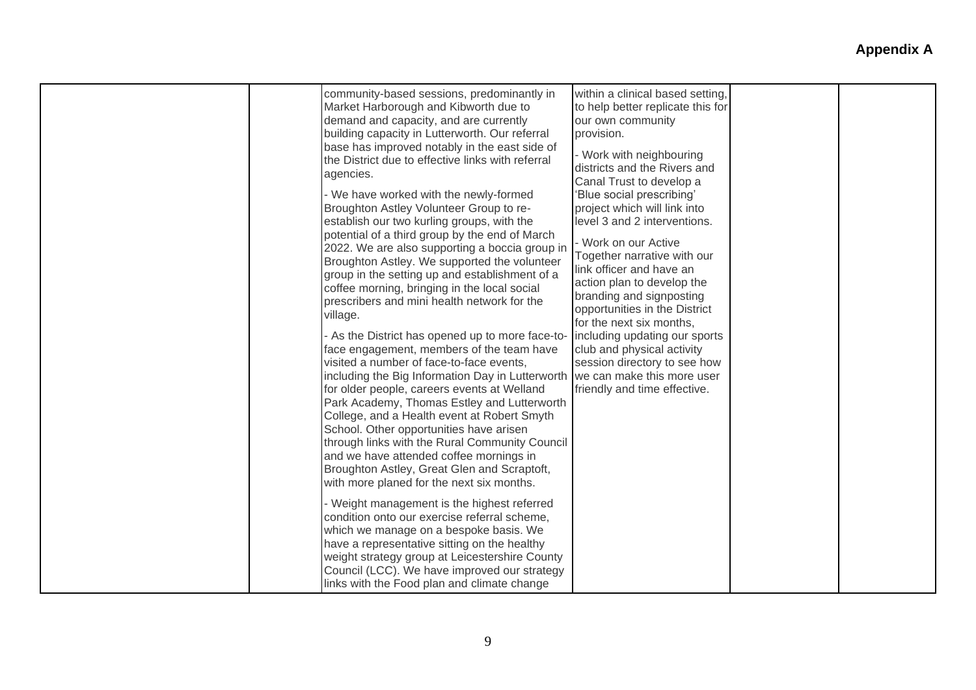| community-based sessions, predominantly in<br>Market Harborough and Kibworth due to<br>demand and capacity, and are currently<br>building capacity in Lutterworth. Our referral<br>base has improved notably in the east side of<br>the District due to effective links with referral<br>agencies.<br>- We have worked with the newly-formed<br>Broughton Astley Volunteer Group to re-<br>establish our two kurling groups, with the<br>potential of a third group by the end of March<br>2022. We are also supporting a boccia group in<br>Broughton Astley. We supported the volunteer<br>group in the setting up and establishment of a<br>coffee morning, bringing in the local social<br>prescribers and mini health network for the<br>village.<br>- As the District has opened up to more face-to-<br>face engagement, members of the team have<br>visited a number of face-to-face events,<br>including the Big Information Day in Lutterworth we can make this more user<br>for older people, careers events at Welland<br>Park Academy, Thomas Estley and Lutterworth<br>College, and a Health event at Robert Smyth<br>School. Other opportunities have arisen<br>through links with the Rural Community Council<br>and we have attended coffee mornings in<br>Broughton Astley, Great Glen and Scraptoft,<br>with more planed for the next six months. | within a clinical based setting,<br>to help better replicate this for<br>our own community<br>provision.<br>- Work with neighbouring<br>districts and the Rivers and<br>Canal Trust to develop a<br>'Blue social prescribing'<br>project which will link into<br>level 3 and 2 interventions.<br>Work on our Active<br>Together narrative with our<br>link officer and have an<br>action plan to develop the<br>branding and signposting<br>opportunities in the District<br>for the next six months,<br>including updating our sports<br>club and physical activity<br>session directory to see how<br>friendly and time effective. |  |
|---------------------------------------------------------------------------------------------------------------------------------------------------------------------------------------------------------------------------------------------------------------------------------------------------------------------------------------------------------------------------------------------------------------------------------------------------------------------------------------------------------------------------------------------------------------------------------------------------------------------------------------------------------------------------------------------------------------------------------------------------------------------------------------------------------------------------------------------------------------------------------------------------------------------------------------------------------------------------------------------------------------------------------------------------------------------------------------------------------------------------------------------------------------------------------------------------------------------------------------------------------------------------------------------------------------------------------------------------------------------|--------------------------------------------------------------------------------------------------------------------------------------------------------------------------------------------------------------------------------------------------------------------------------------------------------------------------------------------------------------------------------------------------------------------------------------------------------------------------------------------------------------------------------------------------------------------------------------------------------------------------------------|--|
| - Weight management is the highest referred<br>condition onto our exercise referral scheme,<br>which we manage on a bespoke basis. We<br>have a representative sitting on the healthy<br>weight strategy group at Leicestershire County<br>Council (LCC). We have improved our strategy<br>links with the Food plan and climate change                                                                                                                                                                                                                                                                                                                                                                                                                                                                                                                                                                                                                                                                                                                                                                                                                                                                                                                                                                                                                              |                                                                                                                                                                                                                                                                                                                                                                                                                                                                                                                                                                                                                                      |  |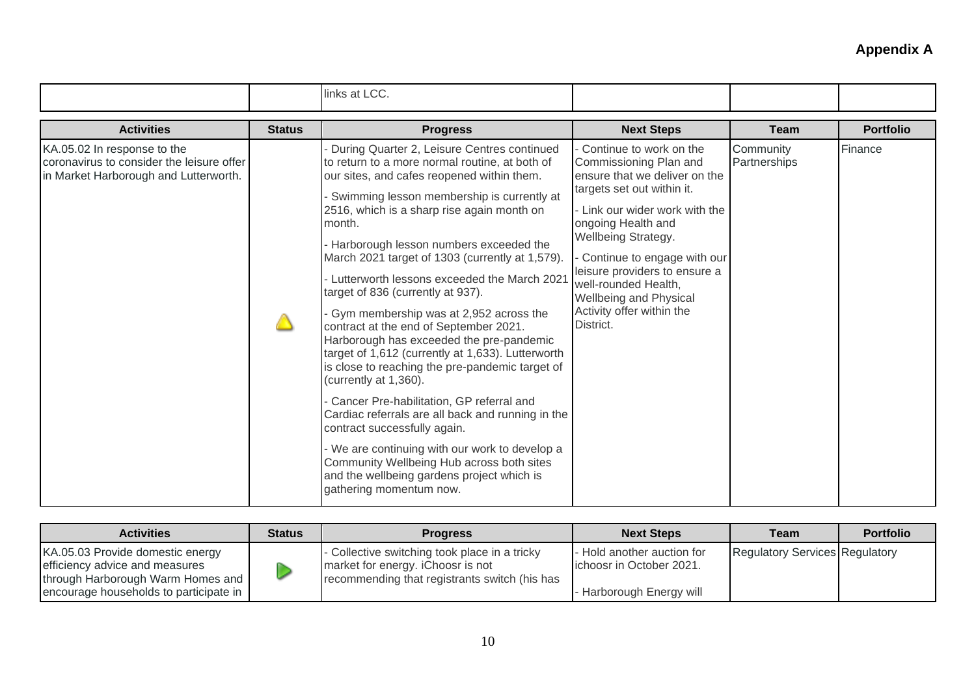|                                                                                                                   |               | links at LCC.                                                                                                                                                                                                                                                                                                                                                                                                                                                                                                                                                                                                                                                                                                                                                                                                                                                                                                                                                                                                  |                                                                                                                                                                                                                                                                                                                                                             |                           |                  |
|-------------------------------------------------------------------------------------------------------------------|---------------|----------------------------------------------------------------------------------------------------------------------------------------------------------------------------------------------------------------------------------------------------------------------------------------------------------------------------------------------------------------------------------------------------------------------------------------------------------------------------------------------------------------------------------------------------------------------------------------------------------------------------------------------------------------------------------------------------------------------------------------------------------------------------------------------------------------------------------------------------------------------------------------------------------------------------------------------------------------------------------------------------------------|-------------------------------------------------------------------------------------------------------------------------------------------------------------------------------------------------------------------------------------------------------------------------------------------------------------------------------------------------------------|---------------------------|------------------|
| <b>Activities</b>                                                                                                 | <b>Status</b> | <b>Progress</b>                                                                                                                                                                                                                                                                                                                                                                                                                                                                                                                                                                                                                                                                                                                                                                                                                                                                                                                                                                                                | <b>Next Steps</b>                                                                                                                                                                                                                                                                                                                                           | <b>Team</b>               | <b>Portfolio</b> |
| KA.05.02 In response to the<br>coronavirus to consider the leisure offer<br>in Market Harborough and Lutterworth. |               | During Quarter 2, Leisure Centres continued<br>to return to a more normal routine, at both of<br>our sites, and cafes reopened within them.<br>Swimming lesson membership is currently at<br>2516, which is a sharp rise again month on<br>month.<br>Harborough lesson numbers exceeded the<br>March 2021 target of 1303 (currently at 1,579).<br>- Lutterworth lessons exceeded the March 2021<br>target of 836 (currently at 937).<br>Gym membership was at 2,952 across the<br>contract at the end of September 2021.<br>Harborough has exceeded the pre-pandemic<br>target of 1,612 (currently at 1,633). Lutterworth<br>is close to reaching the pre-pandemic target of<br>(currently at 1,360).<br>Cancer Pre-habilitation, GP referral and<br>Cardiac referrals are all back and running in the<br>contract successfully again.<br>- We are continuing with our work to develop a<br>Community Wellbeing Hub across both sites<br>and the wellbeing gardens project which is<br>gathering momentum now. | Continue to work on the<br>Commissioning Plan and<br>ensure that we deliver on the<br>targets set out within it.<br>- Link our wider work with the<br>ongoing Health and<br>Wellbeing Strategy.<br>Continue to engage with our<br>leisure providers to ensure a<br>well-rounded Health,<br>Wellbeing and Physical<br>Activity offer within the<br>District. | Community<br>Partnerships | Finance          |

| <b>Activities</b>                                                                                                                                 | <b>Status</b> | <b>Progress</b>                                                                                                                     | <b>Next Steps</b>                                                                 | <b>Team</b>                           | <b>Portfolio</b> |
|---------------------------------------------------------------------------------------------------------------------------------------------------|---------------|-------------------------------------------------------------------------------------------------------------------------------------|-----------------------------------------------------------------------------------|---------------------------------------|------------------|
| KA.05.03 Provide domestic energy<br>efficiency advice and measures<br>through Harborough Warm Homes and<br>encourage households to participate in |               | - Collective switching took place in a tricky<br>market for energy. iChoosr is not<br>recommending that registrants switch (his has | - Hold another auction for<br>lichoosr in October 2021.<br>Harborough Energy will | <b>Regulatory Services Regulatory</b> |                  |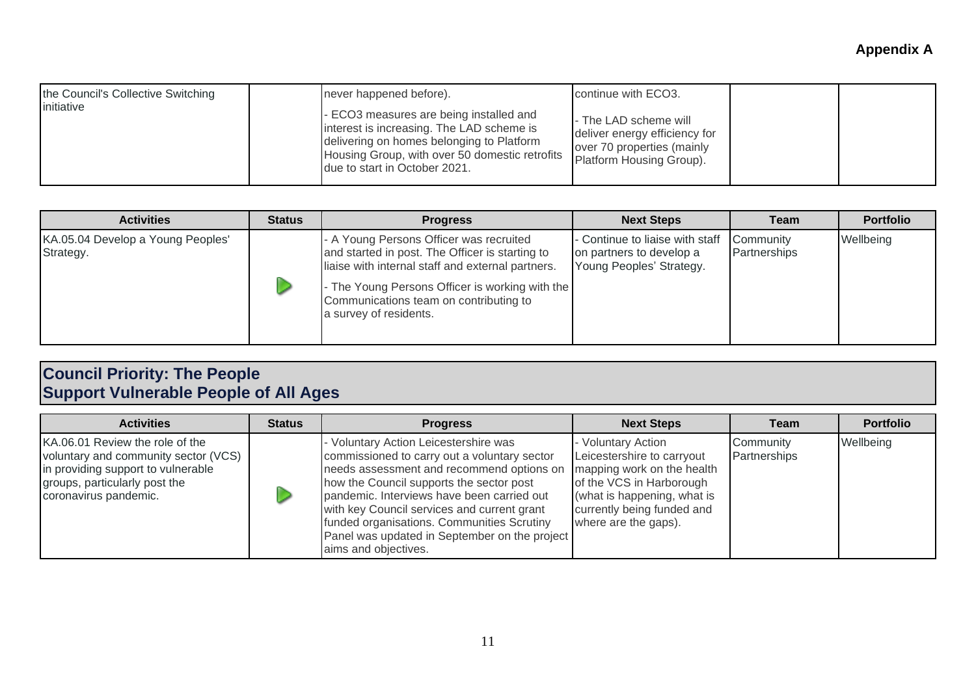| the Council's Collective Switching<br>initiative | never happened before).<br>- ECO3 measures are being installed and<br>interest is increasing. The LAD scheme is<br>delivering on homes belonging to Platform | continue with ECO3.<br>- The LAD scheme will<br>deliver energy efficiency for |  |
|--------------------------------------------------|--------------------------------------------------------------------------------------------------------------------------------------------------------------|-------------------------------------------------------------------------------|--|
|                                                  | Housing Group, with over 50 domestic retrofits<br>due to start in October 2021.                                                                              | over 70 properties (mainly<br>Platform Housing Group).                        |  |

| <b>Activities</b>                              | <b>Status</b> | <b>Progress</b>                                                                                                                                                                                                                                                        | <b>Next Steps</b>                                                                       | Team                      | <b>Portfolio</b> |
|------------------------------------------------|---------------|------------------------------------------------------------------------------------------------------------------------------------------------------------------------------------------------------------------------------------------------------------------------|-----------------------------------------------------------------------------------------|---------------------------|------------------|
| KA.05.04 Develop a Young Peoples'<br>Strategy. |               | - A Young Persons Officer was recruited<br>and started in post. The Officer is starting to<br>liaise with internal staff and external partners.<br>- The Young Persons Officer is working with the<br>Communications team on contributing to<br>a survey of residents. | - Continue to liaise with staff<br>on partners to develop a<br>Young Peoples' Strategy. | Community<br>Partnerships | Wellbeing        |

#### **Council Priority: The People Support Vulnerable People of All Ages**

| <b>Activities</b>                                                                                                                                                       | <b>Status</b> | <b>Progress</b>                                                                                                                                                                                                                                                                                                                                                                                    | <b>Next Steps</b>                                                                                                                                                                               | Team                      | <b>Portfolio</b> |
|-------------------------------------------------------------------------------------------------------------------------------------------------------------------------|---------------|----------------------------------------------------------------------------------------------------------------------------------------------------------------------------------------------------------------------------------------------------------------------------------------------------------------------------------------------------------------------------------------------------|-------------------------------------------------------------------------------------------------------------------------------------------------------------------------------------------------|---------------------------|------------------|
| KA.06.01 Review the role of the<br>voluntary and community sector (VCS)<br>in providing support to vulnerable<br>groups, particularly post the<br>coronavirus pandemic. |               | - Voluntary Action Leicestershire was<br>commissioned to carry out a voluntary sector<br>needs assessment and recommend options on<br>how the Council supports the sector post<br>pandemic. Interviews have been carried out<br>with key Council services and current grant<br>funded organisations. Communities Scrutiny<br>Panel was updated in September on the project<br>aims and objectives. | - Voluntary Action<br>Leicestershire to carryout<br>mapping work on the health<br>of the VCS in Harborough<br>(what is happening, what is<br>currently being funded and<br>where are the gaps). | Community<br>Partnerships | Wellbeing        |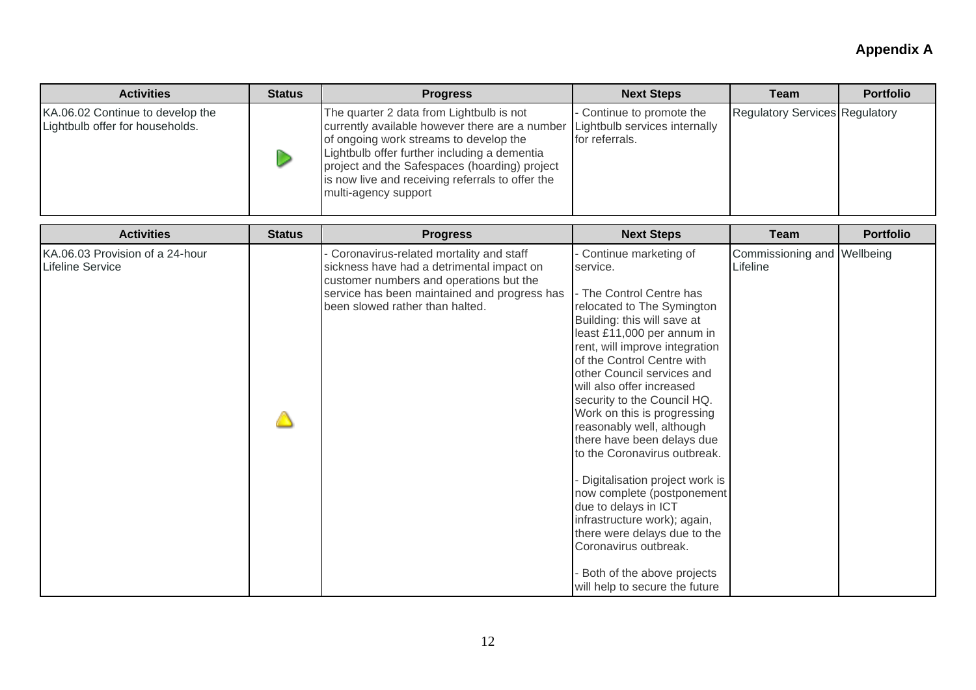| <b>Activities</b>                                                   | <b>Status</b> | <b>Progress</b>                                                                                                                                                                                                                                                                                                   | <b>Next Steps</b>                                                                                                                                                                                                                                                                                                                                                                                                                                                                                                                                                                                                                                                                             | Team                                    | <b>Portfolio</b> |
|---------------------------------------------------------------------|---------------|-------------------------------------------------------------------------------------------------------------------------------------------------------------------------------------------------------------------------------------------------------------------------------------------------------------------|-----------------------------------------------------------------------------------------------------------------------------------------------------------------------------------------------------------------------------------------------------------------------------------------------------------------------------------------------------------------------------------------------------------------------------------------------------------------------------------------------------------------------------------------------------------------------------------------------------------------------------------------------------------------------------------------------|-----------------------------------------|------------------|
| KA.06.02 Continue to develop the<br>Lightbulb offer for households. |               | The quarter 2 data from Lightbulb is not<br>currently available however there are a number<br>of ongoing work streams to develop the<br>Lightbulb offer further including a dementia<br>project and the Safespaces (hoarding) project<br>is now live and receiving referrals to offer the<br>multi-agency support | Continue to promote the<br>Lightbulb services internally<br>for referrals.                                                                                                                                                                                                                                                                                                                                                                                                                                                                                                                                                                                                                    | <b>Regulatory Services Regulatory</b>   |                  |
| <b>Activities</b>                                                   | <b>Status</b> | <b>Progress</b>                                                                                                                                                                                                                                                                                                   | <b>Next Steps</b>                                                                                                                                                                                                                                                                                                                                                                                                                                                                                                                                                                                                                                                                             | <b>Team</b>                             | <b>Portfolio</b> |
| KA.06.03 Provision of a 24-hour<br><b>Lifeline Service</b>          |               | Coronavirus-related mortality and staff<br>sickness have had a detrimental impact on<br>customer numbers and operations but the<br>service has been maintained and progress has<br>been slowed rather than halted.                                                                                                | Continue marketing of<br>service.<br>- The Control Centre has<br>relocated to The Symington<br>Building: this will save at<br>least £11,000 per annum in<br>rent, will improve integration<br>of the Control Centre with<br>other Council services and<br>will also offer increased<br>security to the Council HQ.<br>Work on this is progressing<br>reasonably well, although<br>there have been delays due<br>to the Coronavirus outbreak.<br>Digitalisation project work is<br>now complete (postponement<br>due to delays in ICT<br>infrastructure work); again,<br>there were delays due to the<br>Coronavirus outbreak.<br>Both of the above projects<br>will help to secure the future | Commissioning and Wellbeing<br>Lifeline |                  |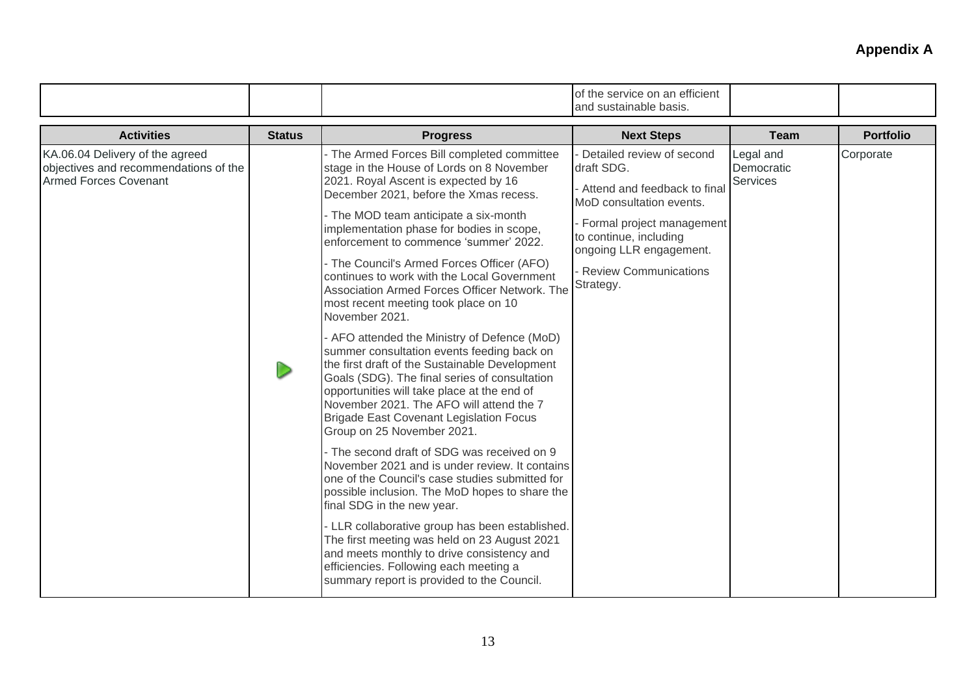|                                                                                                          |               |                                                                                                                                                                                                                                                                                                                                                                                                                                                                                                                                                                                                                                                                                                                                                                                                                                                                                                                                                                                                                                                                                                                                                                                                                                                                                                                                                                             | of the service on an efficient<br>and sustainable basis.                                                                                                                                                                      |                                     |                  |
|----------------------------------------------------------------------------------------------------------|---------------|-----------------------------------------------------------------------------------------------------------------------------------------------------------------------------------------------------------------------------------------------------------------------------------------------------------------------------------------------------------------------------------------------------------------------------------------------------------------------------------------------------------------------------------------------------------------------------------------------------------------------------------------------------------------------------------------------------------------------------------------------------------------------------------------------------------------------------------------------------------------------------------------------------------------------------------------------------------------------------------------------------------------------------------------------------------------------------------------------------------------------------------------------------------------------------------------------------------------------------------------------------------------------------------------------------------------------------------------------------------------------------|-------------------------------------------------------------------------------------------------------------------------------------------------------------------------------------------------------------------------------|-------------------------------------|------------------|
| <b>Activities</b>                                                                                        | <b>Status</b> | <b>Progress</b>                                                                                                                                                                                                                                                                                                                                                                                                                                                                                                                                                                                                                                                                                                                                                                                                                                                                                                                                                                                                                                                                                                                                                                                                                                                                                                                                                             | <b>Next Steps</b>                                                                                                                                                                                                             | <b>Team</b>                         | <b>Portfolio</b> |
| KA.06.04 Delivery of the agreed<br>objectives and recommendations of the<br><b>Armed Forces Covenant</b> |               | - The Armed Forces Bill completed committee<br>stage in the House of Lords on 8 November<br>2021. Royal Ascent is expected by 16<br>December 2021, before the Xmas recess.<br>- The MOD team anticipate a six-month<br>implementation phase for bodies in scope,<br>enforcement to commence 'summer' 2022.<br>- The Council's Armed Forces Officer (AFO)<br>continues to work with the Local Government<br>Association Armed Forces Officer Network. The<br>most recent meeting took place on 10<br>November 2021.<br>- AFO attended the Ministry of Defence (MoD)<br>summer consultation events feeding back on<br>the first draft of the Sustainable Development<br>Goals (SDG). The final series of consultation<br>opportunities will take place at the end of<br>November 2021. The AFO will attend the 7<br><b>Brigade East Covenant Legislation Focus</b><br>Group on 25 November 2021.<br>- The second draft of SDG was received on 9<br>November 2021 and is under review. It contains<br>one of the Council's case studies submitted for<br>possible inclusion. The MoD hopes to share the<br>final SDG in the new year.<br>- LLR collaborative group has been established.<br>The first meeting was held on 23 August 2021<br>and meets monthly to drive consistency and<br>efficiencies. Following each meeting a<br>summary report is provided to the Council. | Detailed review of second<br>draft SDG.<br>- Attend and feedback to final<br>MoD consultation events.<br>Formal project management<br>to continue, including<br>ongoing LLR engagement.<br>Review Communications<br>Strategy. | Legal and<br>Democratic<br>Services | Corporate        |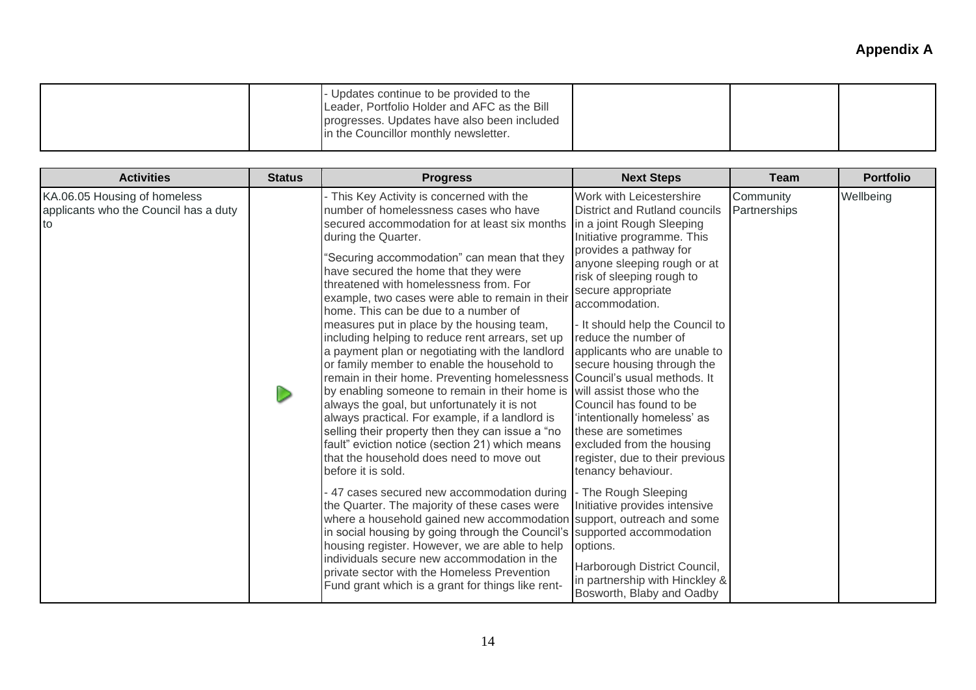| Leader, Portfolio Holder and AFC as the Bill<br>progresses. Updates have also been included<br>in the Councillor monthly newsletter. |  | Updates continue to be provided to the |  |  |  |
|--------------------------------------------------------------------------------------------------------------------------------------|--|----------------------------------------|--|--|--|
|--------------------------------------------------------------------------------------------------------------------------------------|--|----------------------------------------|--|--|--|

| <b>Activities</b>                                                           | <b>Status</b> | <b>Progress</b>                                                                                                                                                                                                                                                                                                                                                                                                                                                                                                                                                                                                                                                                                                                                                                                                                                                                                                                                                                                                                                                                                                                                                                                                                                                                                                                                                                                        | <b>Next Steps</b>                                                                                                                                                                                                                                                                                                                                                                                                                                                                                                                                                                                                                                                                                                                                                                                                | <b>Team</b>               | <b>Portfolio</b> |
|-----------------------------------------------------------------------------|---------------|--------------------------------------------------------------------------------------------------------------------------------------------------------------------------------------------------------------------------------------------------------------------------------------------------------------------------------------------------------------------------------------------------------------------------------------------------------------------------------------------------------------------------------------------------------------------------------------------------------------------------------------------------------------------------------------------------------------------------------------------------------------------------------------------------------------------------------------------------------------------------------------------------------------------------------------------------------------------------------------------------------------------------------------------------------------------------------------------------------------------------------------------------------------------------------------------------------------------------------------------------------------------------------------------------------------------------------------------------------------------------------------------------------|------------------------------------------------------------------------------------------------------------------------------------------------------------------------------------------------------------------------------------------------------------------------------------------------------------------------------------------------------------------------------------------------------------------------------------------------------------------------------------------------------------------------------------------------------------------------------------------------------------------------------------------------------------------------------------------------------------------------------------------------------------------------------------------------------------------|---------------------------|------------------|
| KA.06.05 Housing of homeless<br>applicants who the Council has a duty<br>to |               | - This Key Activity is concerned with the<br>number of homelessness cases who have<br>secured accommodation for at least six months<br>during the Quarter.<br>'Securing accommodation" can mean that they<br>have secured the home that they were<br>threatened with homelessness from. For<br>example, two cases were able to remain in their<br>home. This can be due to a number of<br>measures put in place by the housing team,<br>including helping to reduce rent arrears, set up<br>a payment plan or negotiating with the landlord<br>or family member to enable the household to<br>remain in their home. Preventing homelessness<br>by enabling someone to remain in their home is<br>always the goal, but unfortunately it is not<br>always practical. For example, if a landlord is<br>selling their property then they can issue a "no<br>fault" eviction notice (section 21) which means<br>that the household does need to move out<br>before it is sold.<br>47 cases secured new accommodation during<br>the Quarter. The majority of these cases were<br>where a household gained new accommodation<br>in social housing by going through the Council's supported accommodation<br>housing register. However, we are able to help<br>individuals secure new accommodation in the<br>private sector with the Homeless Prevention<br>Fund grant which is a grant for things like rent- | Work with Leicestershire<br>District and Rutland councils<br>in a joint Rough Sleeping<br>Initiative programme. This<br>provides a pathway for<br>anyone sleeping rough or at<br>risk of sleeping rough to<br>secure appropriate<br>accommodation.<br>- It should help the Council to<br>reduce the number of<br>applicants who are unable to<br>secure housing through the<br>Council's usual methods. It<br>will assist those who the<br>Council has found to be<br>'intentionally homeless' as<br>these are sometimes<br>excluded from the housing<br>register, due to their previous<br>tenancy behaviour.<br>- The Rough Sleeping<br>Initiative provides intensive<br>support, outreach and some<br>options.<br>Harborough District Council,<br>in partnership with Hinckley &<br>Bosworth, Blaby and Oadby | Community<br>Partnerships | Wellbeing        |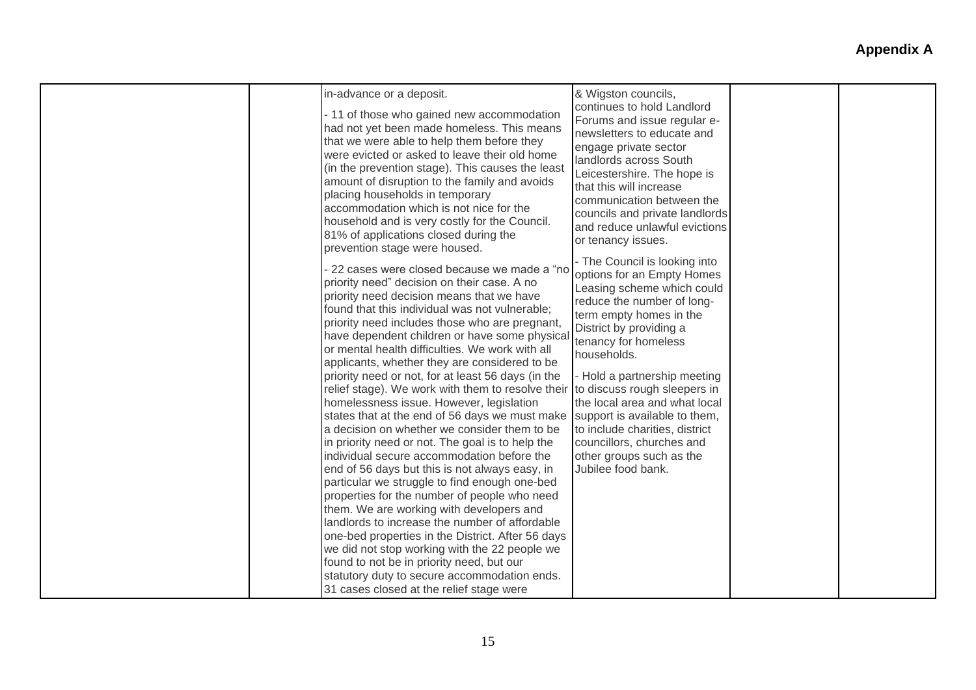|  | in-advance or a deposit.<br>- 11 of those who gained new accommodation<br>had not yet been made homeless. This means<br>that we were able to help them before they<br>were evicted or asked to leave their old home<br>(in the prevention stage). This causes the least<br>amount of disruption to the family and avoids<br>placing households in temporary<br>accommodation which is not nice for the<br>household and is very costly for the Council.<br>81% of applications closed during the<br>prevention stage were housed.<br>22 cases were closed because we made a "no<br>priority need" decision on their case. A no<br>priority need decision means that we have<br>found that this individual was not vulnerable;<br>priority need includes those who are pregnant,<br>have dependent children or have some physical<br>or mental health difficulties. We work with all<br>applicants, whether they are considered to be<br>priority need or not, for at least 56 days (in the<br>relief stage). We work with them to resolve their<br>homelessness issue. However, legislation<br>states that at the end of 56 days we must make<br>a decision on whether we consider them to be<br>in priority need or not. The goal is to help the<br>individual secure accommodation before the<br>end of 56 days but this is not always easy, in<br>particular we struggle to find enough one-bed<br>properties for the number of people who need<br>them. We are working with developers and<br>landlords to increase the number of affordable<br>one-bed properties in the District. After 56 days<br>we did not stop working with the 22 people we<br>found to not be in priority need, but our<br>statutory duty to secure accommodation ends.<br>31 cases closed at the relief stage were | & Wigston councils,<br>continues to hold Landlord<br>Forums and issue regular e-<br>newsletters to educate and<br>engage private sector<br>landlords across South<br>Leicestershire. The hope is<br>that this will increase<br>communication between the<br>councils and private landlords<br>and reduce unlawful evictions<br>or tenancy issues.<br>- The Council is looking into<br>options for an Empty Homes<br>Leasing scheme which could<br>reduce the number of long-<br>term empty homes in the<br>District by providing a<br>tenancy for homeless<br>households.<br>- Hold a partnership meeting<br>to discuss rough sleepers in<br>the local area and what local<br>support is available to them,<br>to include charities, district<br>councillors, churches and<br>other groups such as the<br>Jubilee food bank. |  |  |
|--|-------------------------------------------------------------------------------------------------------------------------------------------------------------------------------------------------------------------------------------------------------------------------------------------------------------------------------------------------------------------------------------------------------------------------------------------------------------------------------------------------------------------------------------------------------------------------------------------------------------------------------------------------------------------------------------------------------------------------------------------------------------------------------------------------------------------------------------------------------------------------------------------------------------------------------------------------------------------------------------------------------------------------------------------------------------------------------------------------------------------------------------------------------------------------------------------------------------------------------------------------------------------------------------------------------------------------------------------------------------------------------------------------------------------------------------------------------------------------------------------------------------------------------------------------------------------------------------------------------------------------------------------------------------------------------------------------------------------------------------------------------------------------------------------------|------------------------------------------------------------------------------------------------------------------------------------------------------------------------------------------------------------------------------------------------------------------------------------------------------------------------------------------------------------------------------------------------------------------------------------------------------------------------------------------------------------------------------------------------------------------------------------------------------------------------------------------------------------------------------------------------------------------------------------------------------------------------------------------------------------------------------|--|--|
|--|-------------------------------------------------------------------------------------------------------------------------------------------------------------------------------------------------------------------------------------------------------------------------------------------------------------------------------------------------------------------------------------------------------------------------------------------------------------------------------------------------------------------------------------------------------------------------------------------------------------------------------------------------------------------------------------------------------------------------------------------------------------------------------------------------------------------------------------------------------------------------------------------------------------------------------------------------------------------------------------------------------------------------------------------------------------------------------------------------------------------------------------------------------------------------------------------------------------------------------------------------------------------------------------------------------------------------------------------------------------------------------------------------------------------------------------------------------------------------------------------------------------------------------------------------------------------------------------------------------------------------------------------------------------------------------------------------------------------------------------------------------------------------------------------------|------------------------------------------------------------------------------------------------------------------------------------------------------------------------------------------------------------------------------------------------------------------------------------------------------------------------------------------------------------------------------------------------------------------------------------------------------------------------------------------------------------------------------------------------------------------------------------------------------------------------------------------------------------------------------------------------------------------------------------------------------------------------------------------------------------------------------|--|--|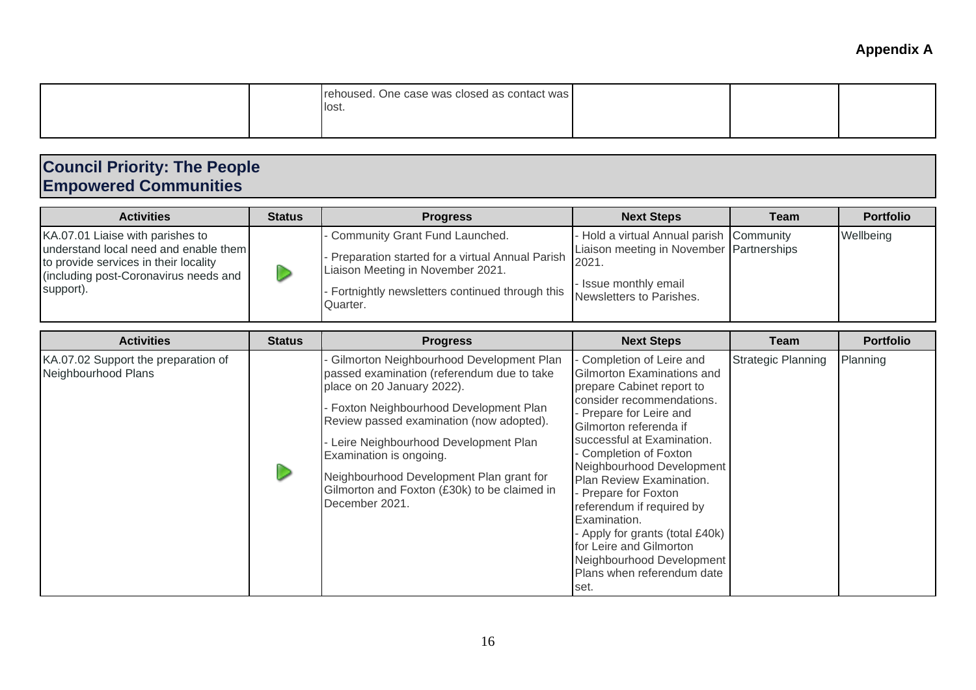|  |  | rehoused. One case was closed as contact was<br>llost. |  |  |  |
|--|--|--------------------------------------------------------|--|--|--|
|--|--|--------------------------------------------------------|--|--|--|

## **Council Priority: The People Empowered Communities**

| <b>Activities</b>                                                                                                                                                        | <b>Status</b> | <b>Progress</b>                                                                                                                                                                      | <b>Next Steps</b>                                                                                                                                  | Team                      | <b>Portfolio</b> |
|--------------------------------------------------------------------------------------------------------------------------------------------------------------------------|---------------|--------------------------------------------------------------------------------------------------------------------------------------------------------------------------------------|----------------------------------------------------------------------------------------------------------------------------------------------------|---------------------------|------------------|
| KA.07.01 Liaise with parishes to<br>understand local need and enable them<br>to provide services in their locality<br>(including post-Coronavirus needs and<br>support). |               | Community Grant Fund Launched.<br>Preparation started for a virtual Annual Parish<br>Liaison Meeting in November 2021.<br>Fortnightly newsletters continued through this<br>Quarter. | - Hold a virtual Annual parish Community<br>Liaison meeting in November Partnerships<br>2021.<br>- Issue monthly email<br>Newsletters to Parishes. |                           | Wellbeing        |
| <b>Activities</b>                                                                                                                                                        | <b>Status</b> | <b>Progress</b>                                                                                                                                                                      | <b>Next Steps</b>                                                                                                                                  | Team                      | <b>Portfolio</b> |
| KA.07.02 Support the preparation of<br>Neighbourhood Plane                                                                                                               |               | Gilmorton Neighbourhood Development Plan<br>nassed examination (referendum due to take                                                                                               | Completion of Leire and<br>Gilmorton Evaminations and                                                                                              | <b>Strategic Planning</b> | Planning         |

| KA.07.02 Support the preparation of<br>Neighbourhood Plans |  | Gilmorton Neighbournood Development Plan<br>passed examination (referendum due to take<br>place on 20 January 2022).<br>- Foxton Neighbourhood Development Plan<br>Review passed examination (now adopted).<br>Leire Neighbourhood Development Plan<br>Examination is ongoing.<br>Neighbourhood Development Plan grant for<br>Gilmorton and Foxton (£30k) to be claimed in<br>December 2021. | - Completion of Leire and<br>Gilmorton Examinations and<br>prepare Cabinet report to<br>consider recommendations.<br>- Prepare for Leire and<br>Gilmorton referenda if<br>successful at Examination.<br>Completion of Foxton<br>Neighbourhood Development<br>Plan Review Examination.<br>- Prepare for Foxton<br>referendum if required by<br>Examination.<br>- Apply for grants (total £40k)<br>for Leire and Gilmorton<br>Neighbourhood Development<br>Plans when referendum date<br>set. | Strategic Planning | <b>Planning</b> |
|------------------------------------------------------------|--|----------------------------------------------------------------------------------------------------------------------------------------------------------------------------------------------------------------------------------------------------------------------------------------------------------------------------------------------------------------------------------------------|---------------------------------------------------------------------------------------------------------------------------------------------------------------------------------------------------------------------------------------------------------------------------------------------------------------------------------------------------------------------------------------------------------------------------------------------------------------------------------------------|--------------------|-----------------|
|------------------------------------------------------------|--|----------------------------------------------------------------------------------------------------------------------------------------------------------------------------------------------------------------------------------------------------------------------------------------------------------------------------------------------------------------------------------------------|---------------------------------------------------------------------------------------------------------------------------------------------------------------------------------------------------------------------------------------------------------------------------------------------------------------------------------------------------------------------------------------------------------------------------------------------------------------------------------------------|--------------------|-----------------|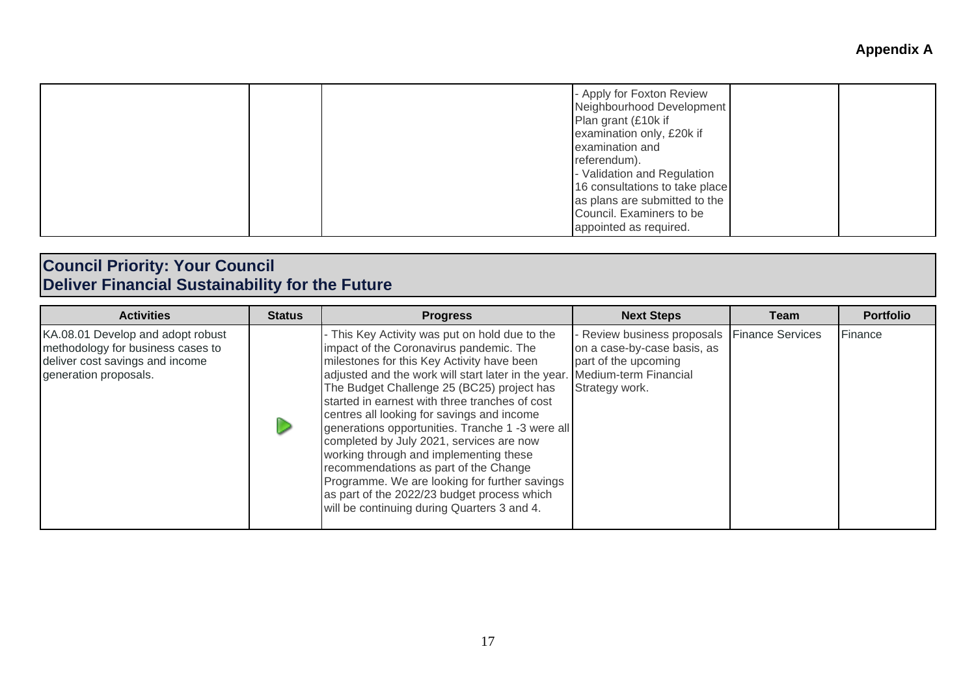|  | - Apply for Foxton Review<br>Neighbourhood Development<br>Plan grant (£10k if<br>examination only, £20k if<br>examination and<br>referendum).<br>- Validation and Regulation<br>16 consultations to take place<br>as plans are submitted to the<br>Council. Examiners to be<br>appointed as required. |
|--|-------------------------------------------------------------------------------------------------------------------------------------------------------------------------------------------------------------------------------------------------------------------------------------------------------|
|--|-------------------------------------------------------------------------------------------------------------------------------------------------------------------------------------------------------------------------------------------------------------------------------------------------------|

#### **Council Priority: Your Council Deliver Financial Sustainability for the Future**

| <b>Activities</b>                                                                                                                  | <b>Status</b> | <b>Progress</b>                                                                                                                                                                                                                                                                                                                                                                                                                                                                                                                                                                                                                                                                | <b>Next Steps</b>                                                                                                           | Team                    | <b>Portfolio</b> |
|------------------------------------------------------------------------------------------------------------------------------------|---------------|--------------------------------------------------------------------------------------------------------------------------------------------------------------------------------------------------------------------------------------------------------------------------------------------------------------------------------------------------------------------------------------------------------------------------------------------------------------------------------------------------------------------------------------------------------------------------------------------------------------------------------------------------------------------------------|-----------------------------------------------------------------------------------------------------------------------------|-------------------------|------------------|
| KA.08.01 Develop and adopt robust<br>methodology for business cases to<br>deliver cost savings and income<br>generation proposals. |               | - This Key Activity was put on hold due to the<br>impact of the Coronavirus pandemic. The<br>milestones for this Key Activity have been<br>adjusted and the work will start later in the year.<br>The Budget Challenge 25 (BC25) project has<br>started in earnest with three tranches of cost<br>centres all looking for savings and income<br>generations opportunities. Tranche 1 -3 were all<br>completed by July 2021, services are now<br>working through and implementing these<br>recommendations as part of the Change<br>Programme. We are looking for further savings<br>as part of the 2022/23 budget process which<br>will be continuing during Quarters 3 and 4. | Review business proposals<br>on a case-by-case basis, as<br>part of the upcoming<br>Medium-term Financial<br>Strategy work. | <b>Finance Services</b> | Finance          |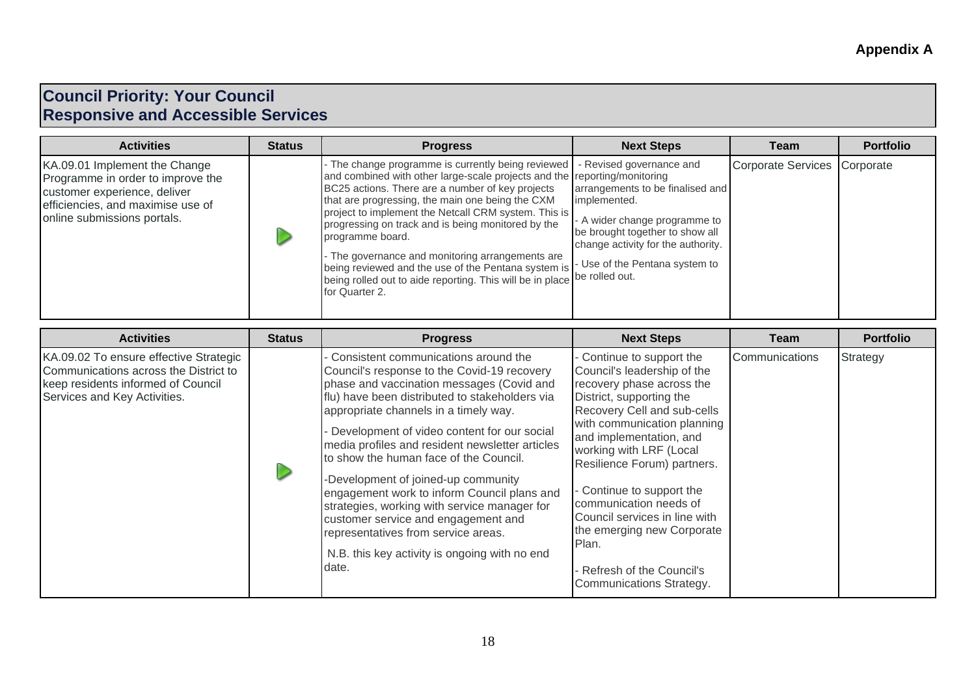#### **Council Priority: Your Council Responsive and Accessible Services**

| <b>Activities</b>                                                                                                                                                      | <b>Status</b> | <b>Progress</b>                                                                                                                                                                                                                                                                                                                                                                                                                                                                                                                                                                    | <b>Next Steps</b>                                                                                                                                                                                                        | Team                         | <b>Portfolio</b> |
|------------------------------------------------------------------------------------------------------------------------------------------------------------------------|---------------|------------------------------------------------------------------------------------------------------------------------------------------------------------------------------------------------------------------------------------------------------------------------------------------------------------------------------------------------------------------------------------------------------------------------------------------------------------------------------------------------------------------------------------------------------------------------------------|--------------------------------------------------------------------------------------------------------------------------------------------------------------------------------------------------------------------------|------------------------------|------------------|
| KA.09.01 Implement the Change<br>Programme in order to improve the<br>customer experience, deliver<br>efficiencies, and maximise use of<br>online submissions portals. |               | - The change programme is currently being reviewed<br>and combined with other large-scale projects and the reporting/monitoring<br>BC25 actions. There are a number of key projects<br>that are progressing, the main one being the CXM<br>project to implement the Netcall CRM system. This is<br>progressing on track and is being monitored by the<br>programme board.<br>- The governance and monitoring arrangements are<br>being reviewed and the use of the Pentana system is<br>being rolled out to aide reporting. This will be in place be rolled out.<br>for Quarter 2. | - Revised governance and<br>arrangements to be finalised and<br>implemented.<br>- A wider change programme to<br>be brought together to show all<br>change activity for the authority.<br>- Use of the Pentana system to | Corporate Services Corporate |                  |

| <b>Activities</b>                                                                                                                                     | <b>Status</b> | <b>Progress</b>                                                                                                                                                                                                                                                                                                                                                                                                                                                                                                                                                                                                                                       | <b>Next Steps</b>                                                                                                                                                                                                                                                                                                                                                                                                                                         | Team           | <b>Portfolio</b> |
|-------------------------------------------------------------------------------------------------------------------------------------------------------|---------------|-------------------------------------------------------------------------------------------------------------------------------------------------------------------------------------------------------------------------------------------------------------------------------------------------------------------------------------------------------------------------------------------------------------------------------------------------------------------------------------------------------------------------------------------------------------------------------------------------------------------------------------------------------|-----------------------------------------------------------------------------------------------------------------------------------------------------------------------------------------------------------------------------------------------------------------------------------------------------------------------------------------------------------------------------------------------------------------------------------------------------------|----------------|------------------|
| KA.09.02 To ensure effective Strategic<br>Communications across the District to<br>keep residents informed of Council<br>Services and Key Activities. |               | Consistent communications around the<br>Council's response to the Covid-19 recovery<br>phase and vaccination messages (Covid and<br>flu) have been distributed to stakeholders via<br>appropriate channels in a timely way.<br>Development of video content for our social<br>media profiles and resident newsletter articles<br>to show the human face of the Council.<br>-Development of joined-up community<br>engagement work to inform Council plans and<br>strategies, working with service manager for<br>customer service and engagement and<br>representatives from service areas.<br>N.B. this key activity is ongoing with no end<br>date. | Continue to support the<br>Council's leadership of the<br>recovery phase across the<br>District, supporting the<br>Recovery Cell and sub-cells<br>with communication planning<br>and implementation, and<br>working with LRF (Local<br>Resilience Forum) partners.<br>- Continue to support the<br>communication needs of<br>Council services in line with<br>the emerging new Corporate<br>Plan.<br>Refresh of the Council's<br>Communications Strategy. | Communications | Strategy         |